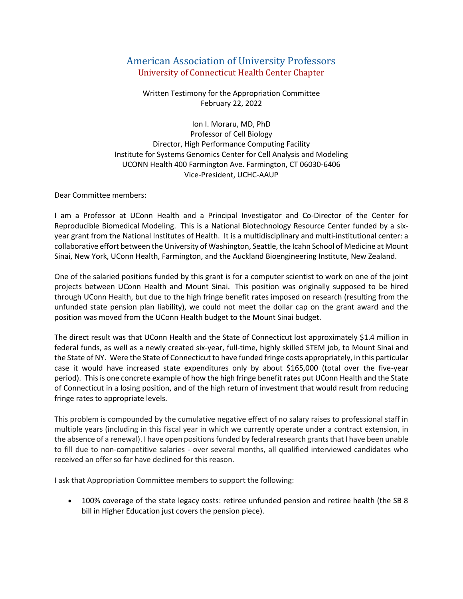## American Association of University Professors University of Connecticut Health Center Chapter

Written Testimony for the Appropriation Committee February 22, 2022

Ion I. Moraru, MD, PhD Professor of Cell Biology Director, High Performance Computing Facility Institute for Systems Genomics Center for Cell Analysis and Modeling UCONN Health 400 Farmington Ave. Farmington, CT 06030-6406 Vice-President, UCHC-AAUP

Dear Committee members:

I am a Professor at UConn Health and a Principal Investigator and Co-Director of the Center for Reproducible Biomedical Modeling. This is a National Biotechnology Resource Center funded by a sixyear grant from the National Institutes of Health. It is a multidisciplinary and multi-institutional center: a collaborative effort between the University of Washington, Seattle, the Icahn School of Medicine at Mount Sinai, New York, UConn Health, Farmington, and the Auckland Bioengineering Institute, New Zealand.

One of the salaried positions funded by this grant is for a computer scientist to work on one of the joint projects between UConn Health and Mount Sinai. This position was originally supposed to be hired through UConn Health, but due to the high fringe benefit rates imposed on research (resulting from the unfunded state pension plan liability), we could not meet the dollar cap on the grant award and the position was moved from the UConn Health budget to the Mount Sinai budget.

The direct result was that UConn Health and the State of Connecticut lost approximately \$1.4 million in federal funds, as well as a newly created six-year, full-time, highly skilled STEM job, to Mount Sinai and the State of NY. Were the State of Connecticut to have funded fringe costs appropriately, in this particular case it would have increased state expenditures only by about \$165,000 (total over the five-year period). This is one concrete example of how the high fringe benefit rates put UConn Health and the State of Connecticut in a losing position, and of the high return of investment that would result from reducing fringe rates to appropriate levels.

This problem is compounded by the cumulative negative effect of no salary raises to professional staff in multiple years (including in this fiscal year in which we currently operate under a contract extension, in the absence of a renewal). I have open positions funded by federal research grants that I have been unable to fill due to non-competitive salaries - over several months, all qualified interviewed candidates who received an offer so far have declined for this reason.

I ask that Appropriation Committee members to support the following:

• 100% coverage of the state legacy costs: retiree unfunded pension and retiree health (the SB 8 bill in Higher Education just covers the pension piece).